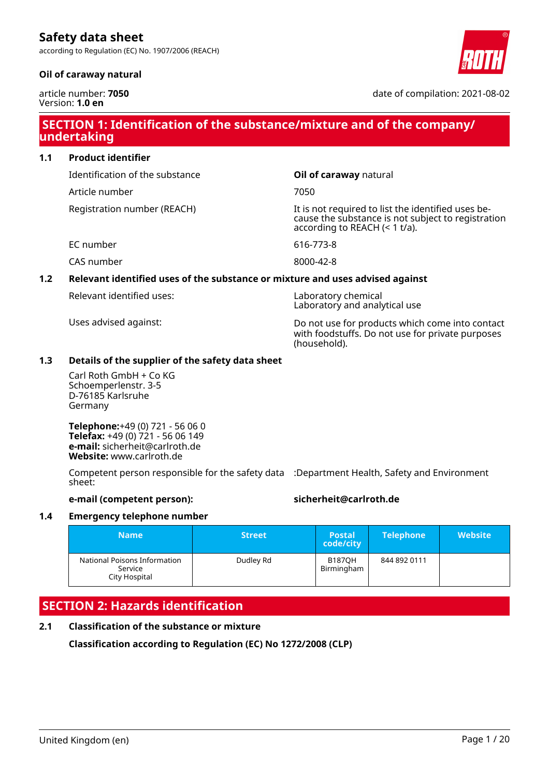according to Regulation (EC) No. 1907/2006 (REACH)

## **Oil of caraway natural**

article number: **7050** Version: **1.0 en**

# **SECTION 1: Identification of the substance/mixture and of the company/ undertaking**

| <b>Product identifier</b><br>1.1 |  |
|----------------------------------|--|
|----------------------------------|--|

Identification of the substance **Oil of caraway** natural

Article number 7050

Registration number (REACH) The state of the identified uses be-

EC number 616-773-8

CAS number 8000-42-8

# **1.2 Relevant identified uses of the substance or mixture and uses advised against**

Relevant identified uses: Laboratory chemical

Uses advised against: Do not use for products which come into contact with foodstuffs. Do not use for private purposes (household).

cause the substance is not subject to registration

according to REACH (< 1 t/a).

Laboratory and analytical use

# **1.3 Details of the supplier of the safety data sheet**

Carl Roth GmbH + Co KG Schoemperlenstr. 3-5 D-76185 Karlsruhe Germany

**Telephone:**+49 (0) 721 - 56 06 0 **Telefax:** +49 (0) 721 - 56 06 149 **e-mail:** sicherheit@carlroth.de **Website:** www.carlroth.de

Competent person responsible for the safety data :Department Health, Safety and Environment sheet:

### **e-mail (competent person): sicherheit@carlroth.de**

# **1.4 Emergency telephone number**

| <b>Name</b>                                              | <b>Street</b> | <b>Postal</b><br>code/city  | <b>Telephone</b> | <b>Website</b> |
|----------------------------------------------------------|---------------|-----------------------------|------------------|----------------|
| National Poisons Information<br>Service<br>City Hospital | Dudley Rd     | <b>B1870H</b><br>Birmingham | 844 892 0111     |                |

# **SECTION 2: Hazards identification**

# **2.1 Classification of the substance or mixture**

**Classification according to Regulation (EC) No 1272/2008 (CLP)**



date of compilation: 2021-08-02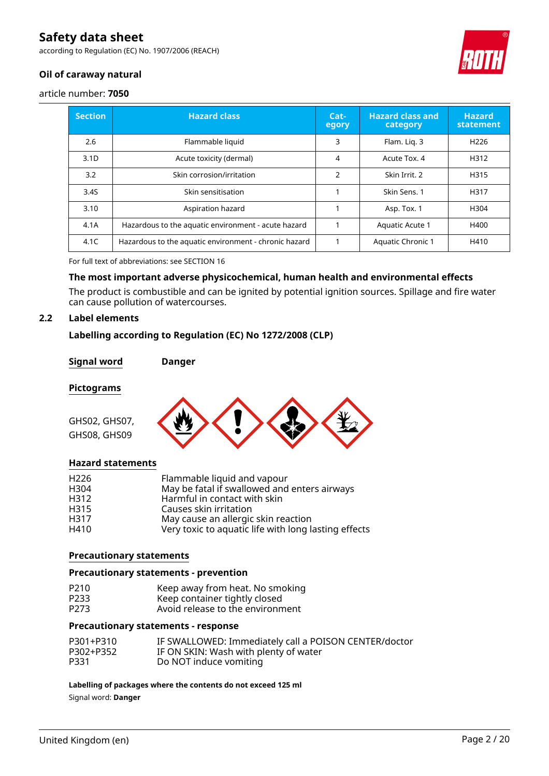according to Regulation (EC) No. 1907/2006 (REACH)



# **Oil of caraway natural**

article number: **7050**

| <b>Section</b>   | <b>Hazard class</b>                                   | Cat-<br>egory  | <b>Hazard class and</b><br>category | <b>Hazard</b><br>statement |
|------------------|-------------------------------------------------------|----------------|-------------------------------------|----------------------------|
| 2.6              | Flammable liquid                                      | 3              | Flam. Lig. 3                        | H <sub>226</sub>           |
| 3.1 <sub>D</sub> | Acute toxicity (dermal)                               | 4              | Acute Tox. 4                        | H312                       |
| 3.2              | Skin corrosion/irritation                             | $\overline{2}$ | Skin Irrit, 2                       | H315                       |
| 3.4S             | Skin sensitisation                                    |                | Skin Sens. 1                        | H317                       |
| 3.10             | Aspiration hazard                                     |                | Asp. Tox. 1                         | H304                       |
| 4.1A             | Hazardous to the aquatic environment - acute hazard   |                | Aquatic Acute 1                     | H400                       |
| 4.1C             | Hazardous to the aquatic environment - chronic hazard |                | <b>Aquatic Chronic 1</b>            | H410                       |

For full text of abbreviations: see SECTION 16

### **The most important adverse physicochemical, human health and environmental effects**

The product is combustible and can be ignited by potential ignition sources. Spillage and fire water can cause pollution of watercourses.

### **2.2 Label elements**

### **Labelling according to Regulation (EC) No 1272/2008 (CLP)**

#### **Signal word Danger**

#### **Pictograms**

GHS02, GHS07, GHS08, GHS09



#### **Hazard statements**

| H <sub>226</sub> | Flammable liquid and vapour                          |
|------------------|------------------------------------------------------|
| H <sub>304</sub> | May be fatal if swallowed and enters airways         |
| H312             | Harmful in contact with skin                         |
| H315             | Causes skin irritation                               |
| H317             | May cause an allergic skin reaction                  |
| H410             | Very toxic to aquatic life with long lasting effects |

#### **Precautionary statements**

#### **Precautionary statements - prevention**

| P210 | Keep away from heat. No smoking  |
|------|----------------------------------|
| P233 | Keep container tightly closed    |
| P273 | Avoid release to the environment |

#### **Precautionary statements - response**

| P301+P310 | IF SWALLOWED: Immediately call a POISON CENTER/doctor |
|-----------|-------------------------------------------------------|
| P302+P352 | IF ON SKIN: Wash with plenty of water                 |
| P331      | Do NOT induce vomiting                                |

**Labelling of packages where the contents do not exceed 125 ml**

Signal word: **Danger**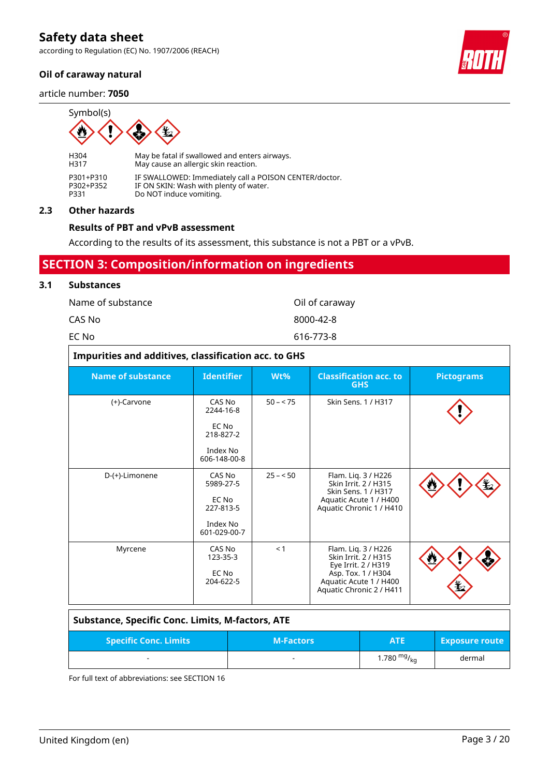according to Regulation (EC) No. 1907/2006 (REACH)

### **Oil of caraway natural**

article number: **7050**



H304 May be fatal if swallowed and enters airways.<br>H317 May cause an allergic skin reaction. May cause an allergic skin reaction. P301+P310 IF SWALLOWED: Immediately call a POISON CENTER/doctor.<br>P302+P352 IF ON SKIN: Wash with plenty of water. P302+P352 IF ON SKIN: Wash with plenty of water.<br>P331 Do NOT induce vomiting. Do NOT induce vomiting.

#### **2.3 Other hazards**

#### **Results of PBT and vPvB assessment**

According to the results of its assessment, this substance is not a PBT or a vPvB.

# **SECTION 3: Composition/information on ingredients**

#### **3.1 Substances**

| Name of substance | Oil of caraway |
|-------------------|----------------|
| CAS No            | 8000-42-8      |
| EC No             | 616-773-8      |

|                          | Impurities and additives, classification acc. to GHS                  |           |                                                                                                                                                |                   |  |  |
|--------------------------|-----------------------------------------------------------------------|-----------|------------------------------------------------------------------------------------------------------------------------------------------------|-------------------|--|--|
| <b>Name of substance</b> | <b>Identifier</b>                                                     | Wt%       | <b>Classification acc. to</b><br><b>GHS</b>                                                                                                    | <b>Pictograms</b> |  |  |
| (+)-Carvone              | CAS No<br>2244-16-8<br>EC No<br>218-827-2<br>Index No<br>606-148-00-8 | $50 - 75$ | Skin Sens. 1 / H317                                                                                                                            |                   |  |  |
| D-(+)-Limonene           | CAS No<br>5989-27-5<br>EC No<br>227-813-5<br>Index No<br>601-029-00-7 | $25 - 50$ | Flam. Liq. 3 / H226<br>Skin Irrit. 2 / H315<br>Skin Sens. 1 / H317<br>Aquatic Acute 1 / H400<br>Aquatic Chronic 1 / H410                       |                   |  |  |
| Myrcene                  | CAS No<br>123-35-3<br>EC No<br>204-622-5                              | < 1       | Flam. Lig. 3 / H226<br>Skin Irrit. 2 / H315<br>Eye Irrit. 2 / H319<br>Asp. Tox. 1 / H304<br>Aquatic Acute 1 / H400<br>Aquatic Chronic 2 / H411 |                   |  |  |

| Substance, Specific Conc. Limits, M-factors, ATE |                          |                  |                       |
|--------------------------------------------------|--------------------------|------------------|-----------------------|
| <b>Specific Conc. Limits</b>                     | <b>M-Factors</b>         | <b>ATE</b>       | <b>Exposure route</b> |
| $\overline{\phantom{a}}$                         | $\overline{\phantom{a}}$ | 1.780 $mg/_{kq}$ | dermal                |

For full text of abbreviations: see SECTION 16

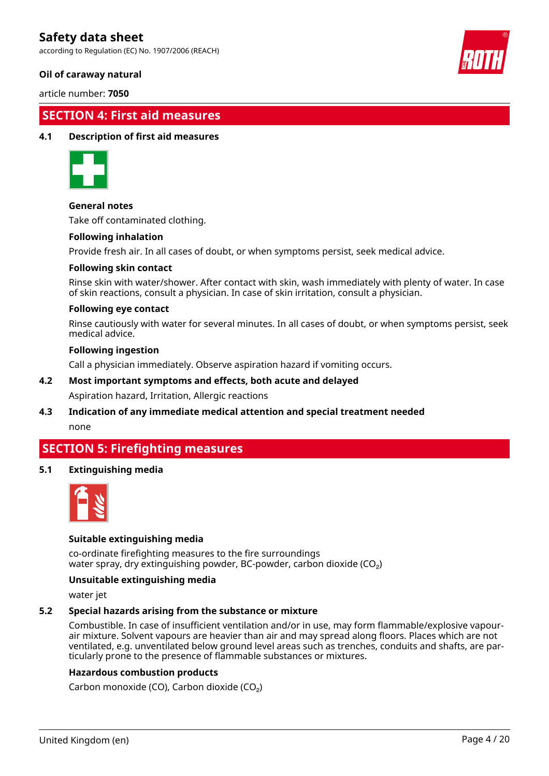according to Regulation (EC) No. 1907/2006 (REACH)

### **Oil of caraway natural**

article number: **7050**

# **SECTION 4: First aid measures**

#### **4.1 Description of first aid measures**



#### **General notes**

Take off contaminated clothing.

#### **Following inhalation**

Provide fresh air. In all cases of doubt, or when symptoms persist, seek medical advice.

#### **Following skin contact**

Rinse skin with water/shower. After contact with skin, wash immediately with plenty of water. In case of skin reactions, consult a physician. In case of skin irritation, consult a physician.

#### **Following eye contact**

Rinse cautiously with water for several minutes. In all cases of doubt, or when symptoms persist, seek medical advice.

#### **Following ingestion**

Call a physician immediately. Observe aspiration hazard if vomiting occurs.

#### **4.2 Most important symptoms and effects, both acute and delayed**

Aspiration hazard, Irritation, Allergic reactions

# **4.3 Indication of any immediate medical attention and special treatment needed**

none

# **SECTION 5: Firefighting measures**

#### **5.1 Extinguishing media**



#### **Suitable extinguishing media**

co-ordinate firefighting measures to the fire surroundings water spray, dry extinguishing powder, BC-powder, carbon dioxide (CO<sub>2</sub>)

#### **Unsuitable extinguishing media**

water jet

#### **5.2 Special hazards arising from the substance or mixture**

Combustible. In case of insufficient ventilation and/or in use, may form flammable/explosive vapourair mixture. Solvent vapours are heavier than air and may spread along floors. Places which are not ventilated, e.g. unventilated below ground level areas such as trenches, conduits and shafts, are particularly prone to the presence of flammable substances or mixtures.

#### **Hazardous combustion products**

Carbon monoxide (CO), Carbon dioxide (CO₂)

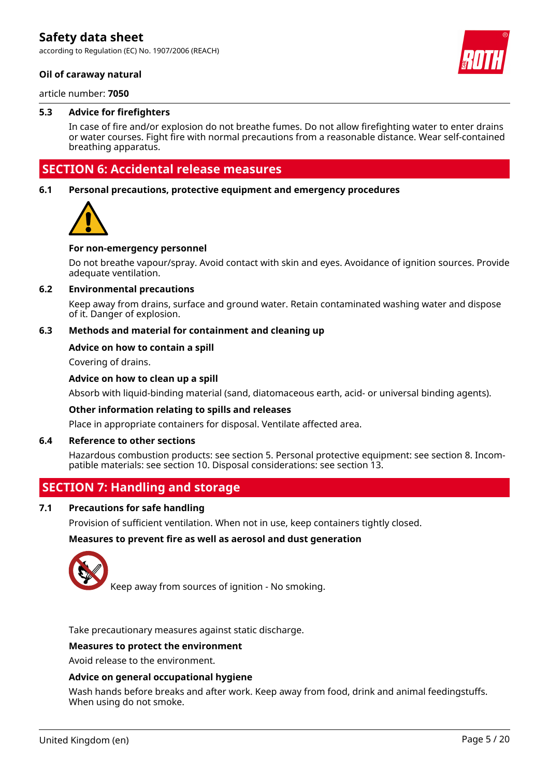according to Regulation (EC) No. 1907/2006 (REACH)

#### **Oil of caraway natural**

article number: **7050**

#### **5.3 Advice for firefighters**

In case of fire and/or explosion do not breathe fumes. Do not allow firefighting water to enter drains or water courses. Fight fire with normal precautions from a reasonable distance. Wear self-contained breathing apparatus.

# **SECTION 6: Accidental release measures**

#### **6.1 Personal precautions, protective equipment and emergency procedures**



#### **For non-emergency personnel**

Do not breathe vapour/spray. Avoid contact with skin and eyes. Avoidance of ignition sources. Provide adequate ventilation.

#### **6.2 Environmental precautions**

Keep away from drains, surface and ground water. Retain contaminated washing water and dispose of it. Danger of explosion.

#### **6.3 Methods and material for containment and cleaning up**

#### **Advice on how to contain a spill**

Covering of drains.

#### **Advice on how to clean up a spill**

Absorb with liquid-binding material (sand, diatomaceous earth, acid- or universal binding agents).

#### **Other information relating to spills and releases**

Place in appropriate containers for disposal. Ventilate affected area.

#### **6.4 Reference to other sections**

Hazardous combustion products: see section 5. Personal protective equipment: see section 8. Incompatible materials: see section 10. Disposal considerations: see section 13.

# **SECTION 7: Handling and storage**

#### **7.1 Precautions for safe handling**

Provision of sufficient ventilation. When not in use, keep containers tightly closed.

#### **Measures to prevent fire as well as aerosol and dust generation**



Keep away from sources of ignition - No smoking.

Take precautionary measures against static discharge.

#### **Measures to protect the environment**

Avoid release to the environment.

#### **Advice on general occupational hygiene**

Wash hands before breaks and after work. Keep away from food, drink and animal feedingstuffs. When using do not smoke.

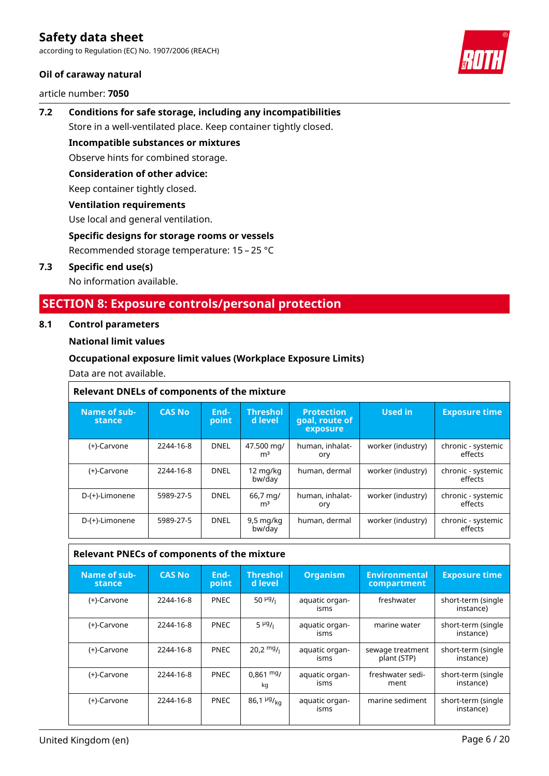according to Regulation (EC) No. 1907/2006 (REACH)

### **Oil of caraway natural**

article number: **7050**



# **7.2 Conditions for safe storage, including any incompatibilities** Store in a well-ventilated place. Keep container tightly closed.

**Incompatible substances or mixtures**

Observe hints for combined storage.

# **Consideration of other advice:**

Keep container tightly closed.

### **Ventilation requirements**

Use local and general ventilation.

### **Specific designs for storage rooms or vessels**

Recommended storage temperature: 15 – 25 °C

### **7.3 Specific end use(s)**

No information available.

# **SECTION 8: Exposure controls/personal protection**

### **8.1 Control parameters**

### **National limit values**

### **Occupational exposure limit values (Workplace Exposure Limits)**

Data are not available.

#### **Relevant DNELs of components of the mixture Name of substance CAS No Endpoint Threshol d level Protection goal, route of exposure Used in Exposure time** (+)-Carvone 2244-16-8 DNEL 47.500 mg/  $m<sup>3</sup>$ human, inhalatory worker (industry) | chronic - systemic effects  $(+)$ -Carvone 2244-16-8 DNEL 12 mg/kg<br>bw/day human, dermal  $\parallel$  worker (industry)  $\parallel$  chronic - systemic effects D-(+)-Limonene | 5989-27-5 | DNEL | 66,7 mg/  $m<sup>3</sup>$ human, inhalatory worker (industry) | chronic - systemic effects D-(+)-Limonene 5989-27-5 DNEL 9,5 mg/kg bw/day human, dermal vorker (industry) chronic - systemic effects

# **Relevant PNECs of components of the mixture**

| Name of sub-<br>stance | <b>CAS No</b> | End-<br>point | <b>Threshol</b><br>d level  | <b>Organism</b>        | <b>Environmental</b><br>compartment | <b>Exposure time</b>            |
|------------------------|---------------|---------------|-----------------------------|------------------------|-------------------------------------|---------------------------------|
| (+)-Carvone            | 2244-16-8     | <b>PNEC</b>   | $50 \frac{\mu g}{I}$        | aquatic organ-<br>isms | freshwater                          | short-term (single<br>instance) |
| (+)-Carvone            | 2244-16-8     | <b>PNEC</b>   | $5 \frac{\mu g}{\mu}$       | aquatic organ-<br>isms | marine water                        | short-term (single<br>instance) |
| (+)-Carvone            | 2244-16-8     | <b>PNEC</b>   | $20.2 \frac{mg}{l}$         | aquatic organ-<br>isms | sewage treatment<br>plant (STP)     | short-term (single<br>instance) |
| (+)-Carvone            | 2244-16-8     | <b>PNEC</b>   | $0,861 \text{ mg}$<br>kq    | aquatic organ-<br>isms | freshwater sedi-<br>ment            | short-term (single<br>instance) |
| (+)-Carvone            | 2244-16-8     | <b>PNEC</b>   | 86,1 $\mu$ g/ <sub>ka</sub> | aquatic organ-<br>isms | marine sediment                     | short-term (single<br>instance) |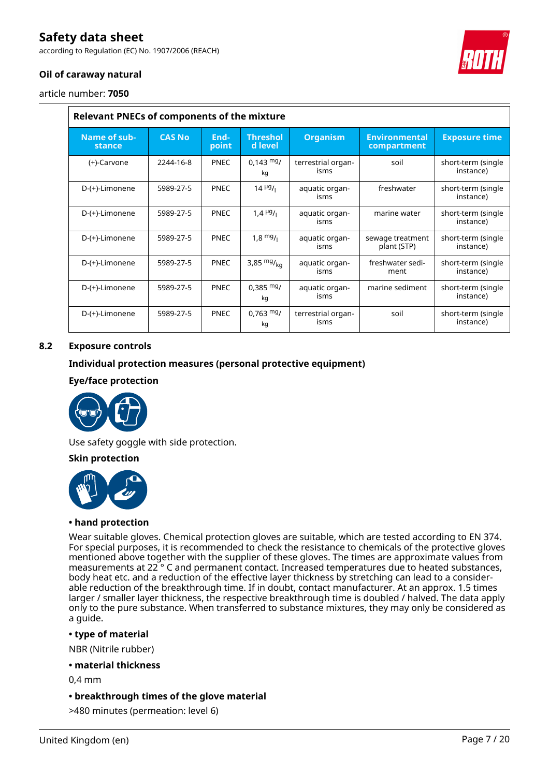according to Regulation (EC) No. 1907/2006 (REACH)

# **Oil of caraway natural**

article number: **7050**

| <b>Relevant PNECs of components of the mixture</b> |               |               |                            |                            |                                     |                                 |
|----------------------------------------------------|---------------|---------------|----------------------------|----------------------------|-------------------------------------|---------------------------------|
| Name of sub-<br>stance                             | <b>CAS No</b> | End-<br>point | <b>Threshol</b><br>d level | <b>Organism</b>            | <b>Environmental</b><br>compartment | <b>Exposure time</b>            |
| (+)-Carvone                                        | 2244-16-8     | <b>PNEC</b>   | $0,143 \text{ mg}$<br>kg   | terrestrial organ-<br>isms | soil                                | short-term (single<br>instance) |
| D-(+)-Limonene                                     | 5989-27-5     | <b>PNEC</b>   | $14 \frac{\mu g}{\mu}$     | aquatic organ-<br>isms     | freshwater                          | short-term (single<br>instance) |
| D-(+)-Limonene                                     | 5989-27-5     | <b>PNEC</b>   | 1,4 $\frac{\mu g}{\mu}$    | aquatic organ-<br>isms     | marine water                        | short-term (single<br>instance) |
| D-(+)-Limonene                                     | 5989-27-5     | <b>PNEC</b>   | $1.8 \frac{mg}{l}$         | aquatic organ-<br>isms     | sewage treatment<br>plant (STP)     | short-term (single<br>instance) |
| D-(+)-Limonene                                     | 5989-27-5     | <b>PNEC</b>   | 3,85 $mg/kq$               | aquatic organ-<br>isms     | freshwater sedi-<br>ment            | short-term (single<br>instance) |
| D-(+)-Limonene                                     | 5989-27-5     | <b>PNEC</b>   | $0,385 \text{ mg}$<br>kg   | aquatic organ-<br>isms     | marine sediment                     | short-term (single<br>instance) |
| D-(+)-Limonene                                     | 5989-27-5     | <b>PNEC</b>   | $0,763 \text{ mg}$<br>kg   | terrestrial organ-<br>isms | soil                                | short-term (single<br>instance) |

### **8.2 Exposure controls**

### **Individual protection measures (personal protective equipment)**

#### **Eye/face protection**



Use safety goggle with side protection.

#### **Skin protection**



#### **• hand protection**

Wear suitable gloves. Chemical protection gloves are suitable, which are tested according to EN 374. For special purposes, it is recommended to check the resistance to chemicals of the protective gloves mentioned above together with the supplier of these gloves. The times are approximate values from measurements at 22 ° C and permanent contact. Increased temperatures due to heated substances, body heat etc. and a reduction of the effective layer thickness by stretching can lead to a considerable reduction of the breakthrough time. If in doubt, contact manufacturer. At an approx. 1.5 times larger / smaller layer thickness, the respective breakthrough time is doubled / halved. The data apply only to the pure substance. When transferred to substance mixtures, they may only be considered as a guide.

#### **• type of material**

NBR (Nitrile rubber)

**• material thickness**

0,4 mm

- **breakthrough times of the glove material**
- >480 minutes (permeation: level 6)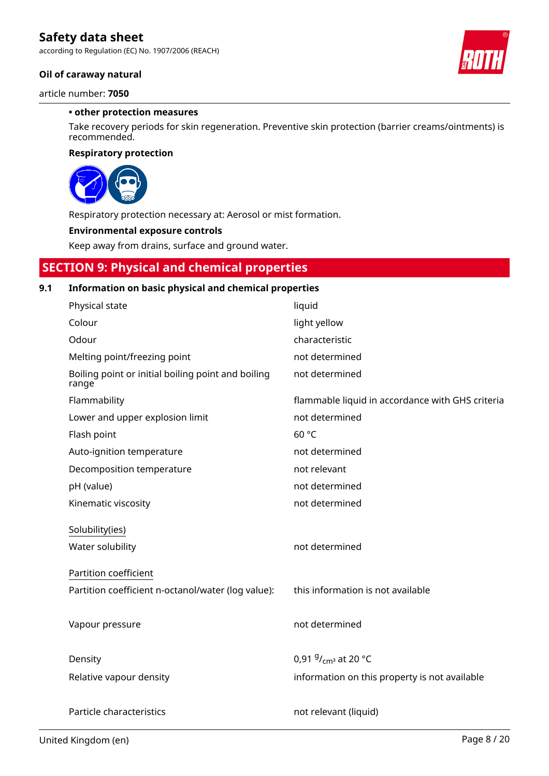according to Regulation (EC) No. 1907/2006 (REACH)

### **Oil of caraway natural**

article number: **7050**

#### **• other protection measures**

Take recovery periods for skin regeneration. Preventive skin protection (barrier creams/ointments) is recommended.

#### **Respiratory protection**



Respiratory protection necessary at: Aerosol or mist formation.

#### **Environmental exposure controls**

Keep away from drains, surface and ground water.

# **SECTION 9: Physical and chemical properties**

# **9.1 Information on basic physical and chemical properties**

| Physical state                                              | liquid                                           |
|-------------------------------------------------------------|--------------------------------------------------|
| Colour                                                      | light yellow                                     |
| Odour                                                       | characteristic                                   |
| Melting point/freezing point                                | not determined                                   |
| Boiling point or initial boiling point and boiling<br>range | not determined                                   |
| Flammability                                                | flammable liquid in accordance with GHS criteria |
| Lower and upper explosion limit                             | not determined                                   |
| Flash point                                                 | 60 °C                                            |
| Auto-ignition temperature                                   | not determined                                   |
| Decomposition temperature                                   | not relevant                                     |
| pH (value)                                                  | not determined                                   |
| Kinematic viscosity                                         | not determined                                   |
| Solubility(ies)                                             |                                                  |
| Water solubility                                            | not determined                                   |
|                                                             |                                                  |
| Partition coefficient                                       |                                                  |
| Partition coefficient n-octanol/water (log value):          | this information is not available                |
|                                                             |                                                  |
| Vapour pressure                                             | not determined                                   |
|                                                             |                                                  |
|                                                             |                                                  |
| Density                                                     | 0,91 $9/_{cm^3}$ at 20 °C                        |
| Relative vapour density                                     | information on this property is not available    |
|                                                             |                                                  |
| Particle characteristics                                    | not relevant (liquid)                            |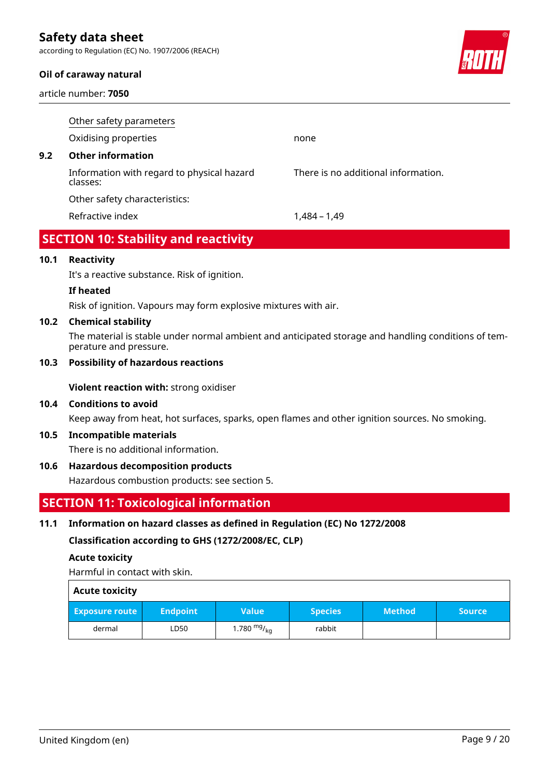according to Regulation (EC) No. 1907/2006 (REACH)

#### **Oil of caraway natural**

article number: **7050**



|     | Other safety parameters                                |                                     |
|-----|--------------------------------------------------------|-------------------------------------|
|     | Oxidising properties                                   | none                                |
| 9.2 | <b>Other information</b>                               |                                     |
|     | Information with regard to physical hazard<br>classes: | There is no additional information. |
|     | Other safety characteristics:                          |                                     |
|     | Refractive index                                       | 1.484 – 1.49                        |
|     |                                                        |                                     |

# **SECTION 10: Stability and reactivity**

### **10.1 Reactivity**

It's a reactive substance. Risk of ignition.

#### **If heated**

Risk of ignition. Vapours may form explosive mixtures with air.

#### **10.2 Chemical stability**

The material is stable under normal ambient and anticipated storage and handling conditions of temperature and pressure.

#### **10.3 Possibility of hazardous reactions**

**Violent reaction with:** strong oxidiser

### **10.4 Conditions to avoid**

Keep away from heat, hot surfaces, sparks, open flames and other ignition sources. No smoking.

#### **10.5 Incompatible materials**

There is no additional information.

#### **10.6 Hazardous decomposition products**

Hazardous combustion products: see section 5.

# **SECTION 11: Toxicological information**

#### **11.1 Information on hazard classes as defined in Regulation (EC) No 1272/2008**

**Classification according to GHS (1272/2008/EC, CLP)**

#### **Acute toxicity**

Harmful in contact with skin.

| <b>Acute toxicity</b> |                 |                      |                |               |               |
|-----------------------|-----------------|----------------------|----------------|---------------|---------------|
| <b>Exposure route</b> | <b>Endpoint</b> | <b>Value</b>         | <b>Species</b> | <b>Method</b> | <b>Source</b> |
| dermal                | LD50            | 1.780 $mg/_{\rm kq}$ | rabbit         |               |               |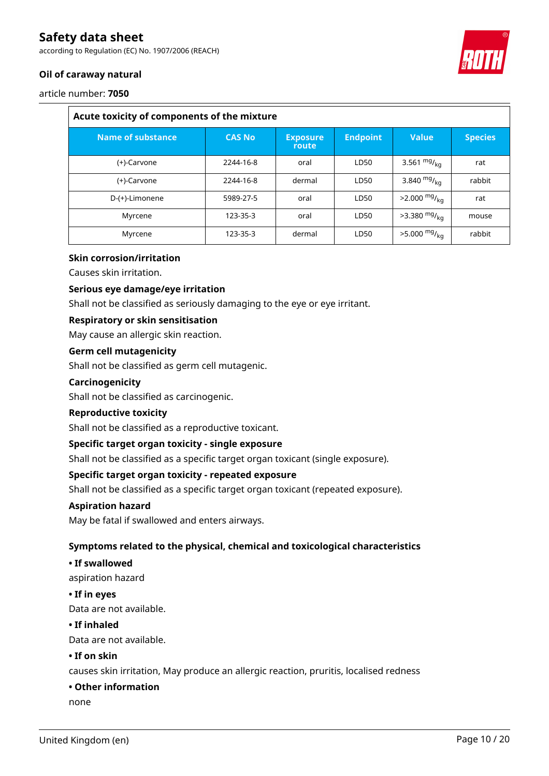according to Regulation (EC) No. 1907/2006 (REACH)



# **Oil of caraway natural**

article number: **7050**

| Acute toxicity of components of the mixture |               |                          |                 |                            |                |  |
|---------------------------------------------|---------------|--------------------------|-----------------|----------------------------|----------------|--|
| <b>Name of substance</b>                    | <b>CAS No</b> | <b>Exposure</b><br>route | <b>Endpoint</b> | <b>Value</b>               | <b>Species</b> |  |
| (+)-Carvone                                 | 2244-16-8     | oral                     | LD50            | 3.561 $mg/_{kq}$           | rat            |  |
| (+)-Carvone                                 | 2244-16-8     | dermal                   | LD50            | 3.840 $mg/_{kq}$           | rabbit         |  |
| D-(+)-Limonene                              | 5989-27-5     | oral                     | LD50            | $>2.000 \frac{mg}{kg}$     | rat            |  |
| Myrcene                                     | 123-35-3      | oral                     | LD50            | $>3.380$ mg/ <sub>kg</sub> | mouse          |  |
| Myrcene                                     | 123-35-3      | dermal                   | LD50            | $>5.000 \frac{mg}{kg}$     | rabbit         |  |

### **Skin corrosion/irritation**

Causes skin irritation.

#### **Serious eye damage/eye irritation**

Shall not be classified as seriously damaging to the eye or eye irritant.

#### **Respiratory or skin sensitisation**

May cause an allergic skin reaction.

#### **Germ cell mutagenicity**

Shall not be classified as germ cell mutagenic.

#### **Carcinogenicity**

Shall not be classified as carcinogenic.

#### **Reproductive toxicity**

Shall not be classified as a reproductive toxicant.

#### **Specific target organ toxicity - single exposure**

Shall not be classified as a specific target organ toxicant (single exposure).

#### **Specific target organ toxicity - repeated exposure**

Shall not be classified as a specific target organ toxicant (repeated exposure).

#### **Aspiration hazard**

May be fatal if swallowed and enters airways.

#### **Symptoms related to the physical, chemical and toxicological characteristics**

#### **• If swallowed**

aspiration hazard

#### **• If in eyes**

Data are not available.

#### **• If inhaled**

Data are not available.

#### **• If on skin**

causes skin irritation, May produce an allergic reaction, pruritis, localised redness

#### **• Other information**

none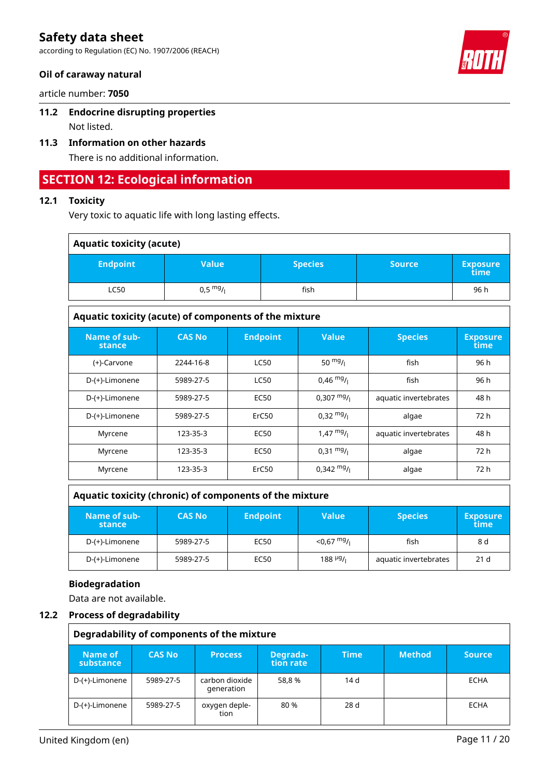according to Regulation (EC) No. 1907/2006 (REACH)

### **Oil of caraway natural**

article number: **7050**

# **11.2 Endocrine disrupting properties**

Not listed.

# **11.3 Information on other hazards**

There is no additional information.

# **SECTION 12: Ecological information**

# **12.1 Toxicity**

Very toxic to aquatic life with long lasting effects.

| <b>Aquatic toxicity (acute)</b> |                    |                |               |                         |  |
|---------------------------------|--------------------|----------------|---------------|-------------------------|--|
| <b>Endpoint</b>                 | Value              | <b>Species</b> | <b>Source</b> | <b>Exposure</b><br>time |  |
| <b>LC50</b>                     | $0,5 \frac{mg}{l}$ | fish           |               | 96 h                    |  |
|                                 |                    |                |               |                         |  |

| Aquatic toxicity (acute) of components of the mixture |                                                                    |             |                         |                       |      |  |  |  |
|-------------------------------------------------------|--------------------------------------------------------------------|-------------|-------------------------|-----------------------|------|--|--|--|
| Name of sub-<br><b>stance</b>                         | <b>CAS No</b><br><b>Endpoint</b><br><b>Value</b><br><b>Species</b> |             | <b>Exposure</b><br>time |                       |      |  |  |  |
| (+)-Carvone                                           | 2244-16-8                                                          | <b>LC50</b> | 50 $mg/1$               | fish                  | 96 h |  |  |  |
| D-(+)-Limonene                                        | 5989-27-5                                                          | <b>LC50</b> | $0,46 \frac{mg}{l}$     | fish                  | 96 h |  |  |  |
| D-(+)-Limonene                                        | 5989-27-5                                                          | <b>EC50</b> | $0,307 \frac{mg}{l}$    | aquatic invertebrates | 48 h |  |  |  |
| D-(+)-Limonene                                        | 5989-27-5                                                          | ErC50       | $0,32 \frac{mg}{l}$     | algae                 | 72 h |  |  |  |
| Myrcene                                               | 123-35-3                                                           | <b>EC50</b> | $1,47 \frac{mg}{l}$     | aquatic invertebrates | 48 h |  |  |  |
| Myrcene                                               | 123-35-3                                                           | <b>EC50</b> | $0,31 \frac{mg}{l}$     | algae                 | 72 h |  |  |  |
| Myrcene                                               | 123-35-3                                                           | ErC50       | $0,342 \frac{mg}{l}$    | algae                 | 72 h |  |  |  |

### **Aquatic toxicity (chronic) of components of the mixture**

| Name of sub-<br>stance | <b>CAS No</b> | <b>Value</b><br><b>Endpoint</b><br><b>Species</b> |                                    | <b>Exposure</b><br>time |                 |
|------------------------|---------------|---------------------------------------------------|------------------------------------|-------------------------|-----------------|
| D-(+)-Limonene         | 5989-27-5     | EC50                                              | $<$ 0,67 $mg/$                     | fish                    | 8 d             |
| D-(+)-Limonene         | 5989-27-5     | EC50                                              | $188$ <sup>µg</sup> / <sub>i</sub> | aquatic invertebrates   | 21 <sub>d</sub> |

#### **Biodegradation**

Data are not available.

#### **12.2 Process of degradability**

| Degradability of components of the mixture |               |                              |                       |             |               |               |
|--------------------------------------------|---------------|------------------------------|-----------------------|-------------|---------------|---------------|
| Name of<br>substance                       | <b>CAS No</b> | <b>Process</b>               | Degrada-<br>tion rate | <b>Time</b> | <b>Method</b> | <b>Source</b> |
| D-(+)-Limonene                             | 5989-27-5     | carbon dioxide<br>generation | 58.8 %                | 14 d        |               | ECHA          |
| D-(+)-Limonene                             | 5989-27-5     | oxygen deple-<br>tion        | 80 %                  | 28 d        |               | ECHA          |



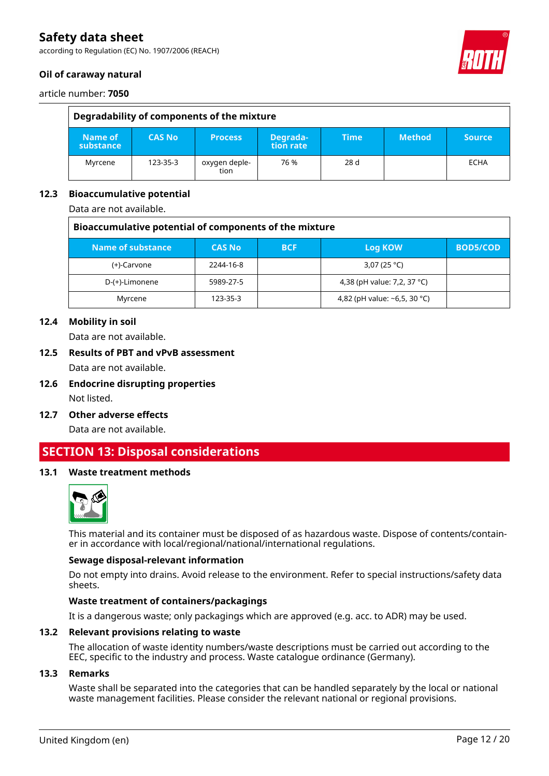according to Regulation (EC) No. 1907/2006 (REACH)

### **Oil of caraway natural**



article number: **7050**

| Degradability of components of the mixture |               |                       |                       |                 |               |               |  |
|--------------------------------------------|---------------|-----------------------|-----------------------|-----------------|---------------|---------------|--|
| Name of<br>substance                       | <b>CAS No</b> | <b>Process</b>        | Degrada-<br>tion rate | Time            | <b>Method</b> | <b>Source</b> |  |
| Myrcene                                    | 123-35-3      | oxygen deple-<br>tion | 76 %                  | 28 <sub>d</sub> |               | <b>ECHA</b>   |  |

### **12.3 Bioaccumulative potential**

Data are not available.

| Bioaccumulative potential of components of the mixture |               |            |                              |                 |  |  |
|--------------------------------------------------------|---------------|------------|------------------------------|-----------------|--|--|
| Name of substance                                      | <b>CAS No</b> | <b>BCF</b> | Log KOW                      | <b>BOD5/COD</b> |  |  |
| (+)-Carvone                                            | 2244-16-8     |            | 3,07 (25 °C)                 |                 |  |  |
| D-(+)-Limonene                                         | 5989-27-5     |            | 4,38 (pH value: 7,2, 37 °C)  |                 |  |  |
| Myrcene                                                | 123-35-3      |            | 4,82 (pH value: ~6,5, 30 °C) |                 |  |  |

### **12.4 Mobility in soil**

Data are not available.

**12.5 Results of PBT and vPvB assessment**

Data are not available.

- **12.6 Endocrine disrupting properties** Not listed.
- **12.7 Other adverse effects** Data are not available.

# **SECTION 13: Disposal considerations**

#### **13.1 Waste treatment methods**



This material and its container must be disposed of as hazardous waste. Dispose of contents/container in accordance with local/regional/national/international regulations.

#### **Sewage disposal-relevant information**

Do not empty into drains. Avoid release to the environment. Refer to special instructions/safety data sheets.

#### **Waste treatment of containers/packagings**

It is a dangerous waste; only packagings which are approved (e.g. acc. to ADR) may be used.

#### **13.2 Relevant provisions relating to waste**

The allocation of waste identity numbers/waste descriptions must be carried out according to the EEC, specific to the industry and process. Waste catalogue ordinance (Germany).

#### **13.3 Remarks**

Waste shall be separated into the categories that can be handled separately by the local or national waste management facilities. Please consider the relevant national or regional provisions.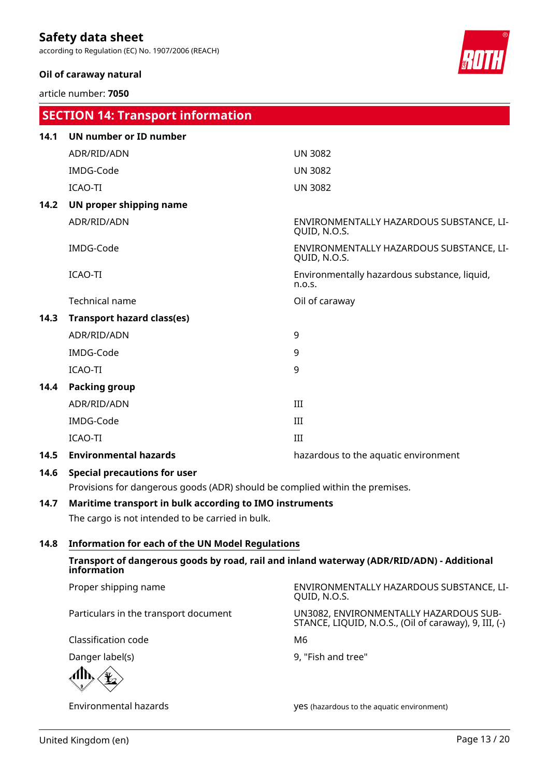according to Regulation (EC) No. 1907/2006 (REACH)

### **Oil of caraway natural**

article number: **7050**



|      | <b>SECTION 14: Transport information</b>                                     |                                                          |
|------|------------------------------------------------------------------------------|----------------------------------------------------------|
| 14.1 | UN number or ID number                                                       |                                                          |
|      | ADR/RID/ADN                                                                  | <b>UN 3082</b>                                           |
|      | IMDG-Code                                                                    | <b>UN 3082</b>                                           |
|      | <b>ICAO-TI</b>                                                               | <b>UN 3082</b>                                           |
| 14.2 | UN proper shipping name                                                      |                                                          |
|      | ADR/RID/ADN                                                                  | ENVIRONMENTALLY HAZARDOUS SUBSTANCE, LI-<br>QUID, N.O.S. |
|      | IMDG-Code                                                                    | ENVIRONMENTALLY HAZARDOUS SUBSTANCE, LI-<br>QUID, N.O.S. |
|      | ICAO-TI                                                                      | Environmentally hazardous substance, liquid,<br>n.o.s.   |
|      | <b>Technical name</b>                                                        | Oil of caraway                                           |
| 14.3 | <b>Transport hazard class(es)</b>                                            |                                                          |
|      | ADR/RID/ADN                                                                  | 9                                                        |
|      | IMDG-Code                                                                    | 9                                                        |
|      | ICAO-TI                                                                      | 9                                                        |
| 14.4 | Packing group                                                                |                                                          |
|      | ADR/RID/ADN                                                                  | III                                                      |
|      | IMDG-Code                                                                    | III                                                      |
|      | ICAO-TI                                                                      | III                                                      |
| 14.5 | <b>Environmental hazards</b>                                                 | hazardous to the aquatic environment                     |
| 14.6 | <b>Special precautions for user</b>                                          |                                                          |
|      | Provisions for dangerous goods (ADR) should be complied within the premises. |                                                          |
| 14.7 | Maritime transport in bulk according to IMO instruments                      |                                                          |
|      | The cargo is not intended to be carried in bulk.                             |                                                          |

#### **14.8 Information for each of the UN Model Regulations**

**Transport of dangerous goods by road, rail and inland waterway (ADR/RID/ADN) - Additional information**

Proper shipping name ENVIRONMENTALLY HAZARDOUS SUBSTANCE, LI-QUID, N.O.S. Particulars in the transport document UN3082, ENVIRONMENTALLY HAZARDOUS SUB-STANCE, LIQUID, N.O.S., (Oil of caraway), 9, III, (-) Classification code M6 Danger label(s) 8, "Fish and tree"

Environmental hazards yes (hazardous to the aquatic environment)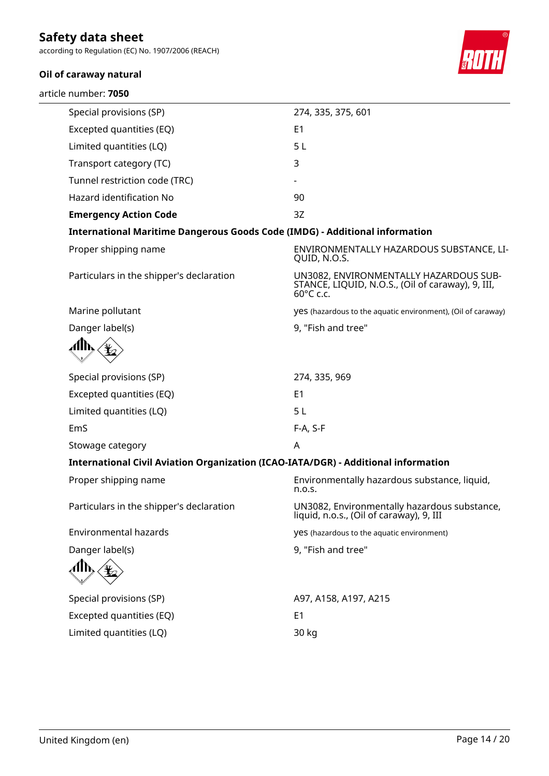according to Regulation (EC) No. 1907/2006 (REACH)

## **Oil of caraway natural**

article number: **7050**



| Special provisions (SP)                                                            | 274, 335, 375, 601                                                                                       |
|------------------------------------------------------------------------------------|----------------------------------------------------------------------------------------------------------|
| Excepted quantities (EQ)                                                           | E <sub>1</sub>                                                                                           |
| Limited quantities (LQ)                                                            | 5L                                                                                                       |
| Transport category (TC)                                                            | 3                                                                                                        |
| Tunnel restriction code (TRC)                                                      |                                                                                                          |
| Hazard identification No                                                           | 90                                                                                                       |
| <b>Emergency Action Code</b>                                                       | 3Z                                                                                                       |
| <b>International Maritime Dangerous Goods Code (IMDG) - Additional information</b> |                                                                                                          |
| Proper shipping name                                                               | ENVIRONMENTALLY HAZARDOUS SUBSTANCE, LI-<br>QUID, N.O.S.                                                 |
| Particulars in the shipper's declaration                                           | UN3082, ENVIRONMENTALLY HAZARDOUS SUB-<br>STANCE, LIQUID, N.O.S., (Oil of caraway), 9, III,<br>60°C c.c. |
| Marine pollutant                                                                   | yes (hazardous to the aquatic environment), (Oil of caraway)                                             |
| Danger label(s)                                                                    | 9, "Fish and tree"                                                                                       |
|                                                                                    |                                                                                                          |
| Special provisions (SP)                                                            | 274, 335, 969                                                                                            |
| Excepted quantities (EQ)                                                           | E1                                                                                                       |
| Limited quantities (LQ)                                                            | 5L                                                                                                       |
| EmS                                                                                | F-A, S-F                                                                                                 |
| Stowage category                                                                   | A                                                                                                        |
| International Civil Aviation Organization (ICAO-IATA/DGR) - Additional information |                                                                                                          |
| Proper shipping name                                                               | Environmentally hazardous substance, liquid,<br>n.o.s.                                                   |
| Particulars in the shipper's declaration                                           | UN3082, Environmentally hazardous substance,<br>liquid, n.o.s., (Oil of caraway), 9, III                 |
| Environmental hazards                                                              | yes (hazardous to the aquatic environment)                                                               |
| Danger label(s)                                                                    | 9, "Fish and tree"                                                                                       |
|                                                                                    |                                                                                                          |
| Special provisions (SP)                                                            | A97, A158, A197, A215                                                                                    |
| Excepted quantities (EQ)                                                           | E <sub>1</sub>                                                                                           |
| Limited quantities (LQ)                                                            | 30 kg                                                                                                    |
|                                                                                    |                                                                                                          |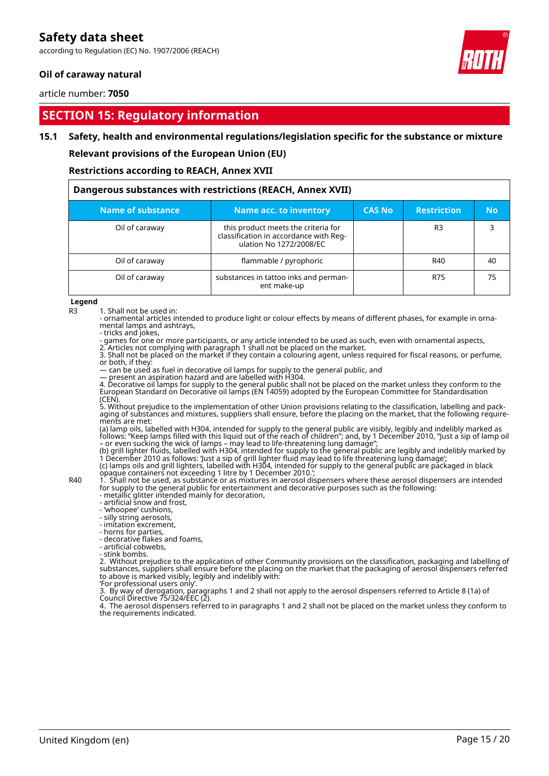according to Regulation (EC) No. 1907/2006 (REACH)

### **Oil of caraway natural**

article number: **7050**

# **SECTION 15: Regulatory information**

#### **15.1 Safety, health and environmental regulations/legislation specific for the substance or mixture**

**Relevant provisions of the European Union (EU)**

**Restrictions according to REACH, Annex XVII**

| Dangerous substances with restrictions (REACH, Annex XVII) |                                                                                                          |               |                    |           |  |  |  |
|------------------------------------------------------------|----------------------------------------------------------------------------------------------------------|---------------|--------------------|-----------|--|--|--|
| Name of substance                                          | Name acc. to inventory                                                                                   | <b>CAS No</b> | <b>Restriction</b> | <b>No</b> |  |  |  |
| Oil of caraway                                             | this product meets the criteria for<br>classification in accordance with Reg-<br>ulation No 1272/2008/EC |               | R3                 |           |  |  |  |
| Oil of caraway                                             | flammable / pyrophoric                                                                                   |               | R40                | 40        |  |  |  |
| Oil of caraway                                             | substances in tattoo inks and perman-<br>ent make-up                                                     |               | R75                | 75        |  |  |  |

**Legend**

R3 1. Shall not be used in:

- ornamental articles intended to produce light or colour effects by means of different phases, for example in ornamental lamps and ashtrays,

- tricks and jokes,

- games for one or more participants, or any article intended to be used as such, even with ornamental aspects, 2. Articles not complying with paragraph 1 shall not be placed on the market.

3. Shall not be placed on the market if they contain a colouring agent, unless required for fiscal reasons, or perfume, or both, if they:

— can be used as fuel in decorative oil lamps for supply to the general public, and

— present an aspiration hazard and are labelled with H304.

4. Decorative oil lamps for supply to the general public shall not be placed on the market unless they conform to the European Standard on Decorative oil lamps (EN 14059) adopted by the European Committee for Standardisation (CEN).

5. Without prejudice to the implementation of other Union provisions relating to the classification, labelling and packaging of substances and mixtures, suppliers shall ensure, before the placing on the market, that the following requirements are met:

(a) lamp oils, labelled with H304, intended for supply to the general public are visibly, legibly and indelibly marked as follows: "Keep lamps filled with this liquid out of the reach of children"; and, by 1 December 2010, "Just a sip of lamp oil – or even sucking the wick of lamps – may lead to life-threatening lung damage";

(b) grill lighter fluids, labelled with H304, intended for supply to the general public are legibly and indelibly marked by 1 December 2010 as follows: 'Just a sip of grill lighter fluid may lead to life threatening lung damage'; (c) lamps oils and grill lighters, labelled with H304, intended for supply to the general public are packaged in black opaque containers not exceeding 1 litre by 1 December 2010.';

R40 1. Shall not be used, as substance or as mixtures in aerosol dispensers where these aerosol dispensers are intended for supply to the general public for entertainment and decorative purposes such as the following:

- metallic glitter intended mainly for decoration, - artificial snow and frost,

- 'whoopee' cushions,

- silly string aerosols,

- imitation excrement,

- horns for parties,

- decorative flakes and foams,

- artificial cobwebs,

- stink bombs.

2. Without prejudice to the application of other Community provisions on the classification, packaging and labelling of substances, suppliers shall ensure before the placing on the market that the packaging of aerosol dispensers referred to above is marked visibly, legibly and indelibly with:

'For professional users only'.

3. By way of derogation, paragraphs 1 and 2 shall not apply to the aerosol dispensers referred to Article 8 (1a) of Council Directive 75/324/EEC (2).

4. The aerosol dispensers referred to in paragraphs 1 and 2 shall not be placed on the market unless they conform to the requirements indicated.

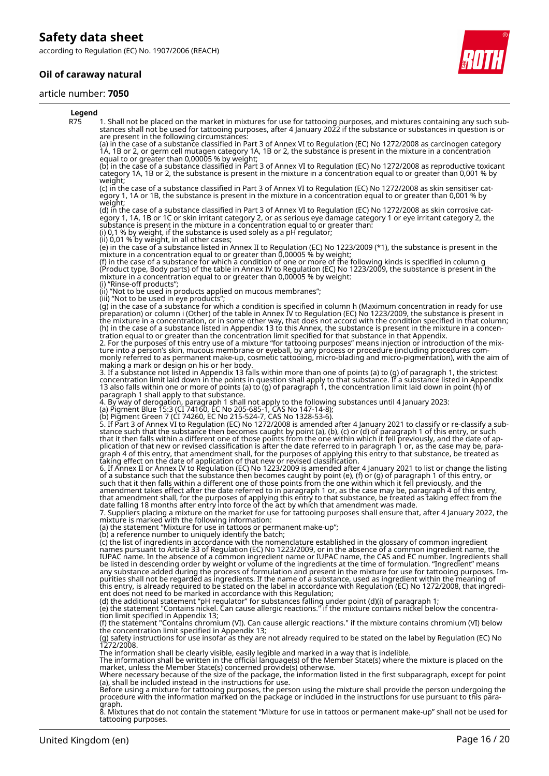according to Regulation (EC) No. 1907/2006 (REACH)

### **Oil of caraway natural**

#### article number: **7050**



#### **Legend** R75 1. Shall not be placed on the market in mixtures for use for tattooing purposes, and mixtures containing any such substances shall not be used for tattooing purposes, after 4 January 2022 if the substance or substances in question is or are present in the following circumstances: (a) in the case of a substance classified in Part 3 of Annex VI to Regulation (EC) No 1272/2008 as carcinogen category 1A, 1B or 2, or germ cell mutagen category 1A, 1B or 2, the substance is present in the mixture in a concentration equal to or greater than 0,00005 % by weight; (b) in the case of a substance classified in Part 3 of Annex VI to Regulation (EC) No 1272/2008 as reproductive toxicant category 1A, 1B or 2, the substance is present in the mixture in a concentration equal to or greater than 0,001 % by weight; (c) in the case of a substance classified in Part 3 of Annex VI to Regulation (EC) No 1272/2008 as skin sensitiser category 1, 1A or 1B, the substance is present in the mixture in a concentration equal to or greater than 0,001 % by weight; (d) in the case of a substance classified in Part 3 of Annex VI to Regulation (EC) No 1272/2008 as skin corrosive category 1, 1A, 1B or 1C or skin irritant category 2, or as serious eye damage category 1 or eye irritant category 2, the substance is present in the mixture in a concentration equal to or greater than: (i) 0,1 % by weight, if the substance is used solely as a pH regulator; (ii) 0,01 % by weight, in all other cases; (e) in the case of a substance listed in Annex II to Regulation (EC) No 1223/2009 (\*1), the substance is present in the mixture in a concentration equal to or greater than 0,00005 % by weight; (f) in the case of a substance for which a condition of one or more of the following kinds is specified in column g (Product type, Body parts) of the table in Annex IV to Regulation (EC) No 1223/2009, the substance is present in the mixture in a concentration equal to or greater than 0,00005 % by weight: (i) "Rinse-off products"; (ii) "Not to be used in products applied on mucous membranes"; (iii) "Not to be used in eye products"; (g) in the case of a substance for which a condition is specified in column h (Maximum concentration in ready for use preparation) or column i (Other) of the table in Annex IV to Regulation (EC) No 1223/2009, the substance is present in the mixture in a concentration, or in some other way, that does not accord with the condition specified in that column; (h) in the case of a substance listed in Appendix 13 to this Annex, the substance is present in the mixture in a concentration equal to or greater than the concentration limit specified for that substance in that Appendix. 2. For the purposes of this entry use of a mixture "for tattooing purposes" means injection or introduction of the mixture into a person's skin, mucous membrane or eyeball, by any process or procedure (including procedures commonly referred to as permanent make-up, cosmetic tattooing, micro-blading and micro-pigmentation), with the aim of making a mark or design on his or her body. 3. If a substance not listed in Appendix 13 falls within more than one of points (a) to (g) of paragraph 1, the strictest concentration limit laid down in the points in question shall apply to that substance. If a substance listed in Appendix 13 also falls within one or more of points (a) to (g) of paragraph 1, the concentration limit laid down in point (h) of paragraph 1 shall apply to that substance. 4. By way of derogation, paragraph 1 shall not apply to the following substances until 4 January 2023: (a) Pigment Blue 15:3 (CI 74160, EC No 205-685-1, CAS No 147-14-8); (b) Pigment Green 7 (CI 74260, EC No 215-524-7, CAS No 1328-53-6). 5. If Part 3 of Annex VI to Regulation (EC) No 1272/2008 is amended after 4 January 2021 to classify or re-classify a substance such that the substance then becomes caught by point (a), (b), (c) or (d) of paragraph 1 of this entry, or such that it then falls within a different one of those points from the one within which it fell previously, and the date of application of that new or revised classification is after the date referred to in paragraph 1 or, as the case may be, paragraph 4 of this entry, that amendment shall, for the purposes of applying this entry to that substance, be treated as taking effect on the date of application of that new or revised classification. 6. If Annex II or Annex IV to Regulation (EC) No 1223/2009 is amended after 4 January 2021 to list or change the listing of a substance such that the substance then becomes caught by point (e), (f) or (g) of paragraph 1 of this entry, or such that it then falls within a different one of those points from the one within which it fell previously, and the amendment takes effect after the date referred to in paragraph 1 or, as the case may be, paragraph 4 of this entry, that amendment shall, for the purposes of applying this entry to that substance, be treated as taking effect from the date falling 18 months after entry into force of the act by which that amendment was made. 7. Suppliers placing a mixture on the market for use for tattooing purposes shall ensure that, after 4 January 2022, the mixture is marked with the following information: (a) the statement "Mixture for use in tattoos or permanent make-up"; (b) a reference number to uniquely identify the batch; (c) the list of ingredients in accordance with the nomenclature established in the glossary of common ingredient names pursuant to Article 33 of Regulation (EC) No 1223/2009, or in the absence of a common ingredient name, the IUPAC name. In the absence of a common ingredient name or IUPAC name, the CAS and EC number. Ingredients shall be listed in descending order by weight or volume of the ingredients at the time of formulation. "Ingredient" means any substance added during the process of formulation and present in the mixture for use for tattooing purposes. Impurities shall not be regarded as ingredients. If the name of a substance, used as ingredient within the meaning of this entry, is already required to be stated on the label in accordance with Regulation (EC) No 1272/2008, that ingredient does not need to be marked in accordance with this Regulation; (d) the additional statement "pH regulator" for substances falling under point (d)(i) of paragraph 1; (e) the statement "Contains nickel. Can cause allergic reactions." if the mixture contains nickel below the concentration limit specified in Appendix 13; (f) the statement "Contains chromium (VI). Can cause allergic reactions." if the mixture contains chromium (VI) below the concentration limit specified in Appendix 13; (g) safety instructions for use insofar as they are not already required to be stated on the label by Regulation (EC) No 1272/2008. The information shall be clearly visible, easily legible and marked in a way that is indelible.<br>The information shall be written in the official language(s) of the Member State(s) where the mixture is placed on the<br>market, Where necessary because of the size of the package, the information listed in the first subparagraph, except for point (a), shall be included instead in the instructions for use. Before using a mixture for tattooing purposes, the person using the mixture shall provide the person undergoing the procedure with the information marked on the package or included in the instructions for use pursuant to this para-

graph. 8. Mixtures that do not contain the statement "Mixture for use in tattoos or permanent make-up" shall not be used for tattooing purposes.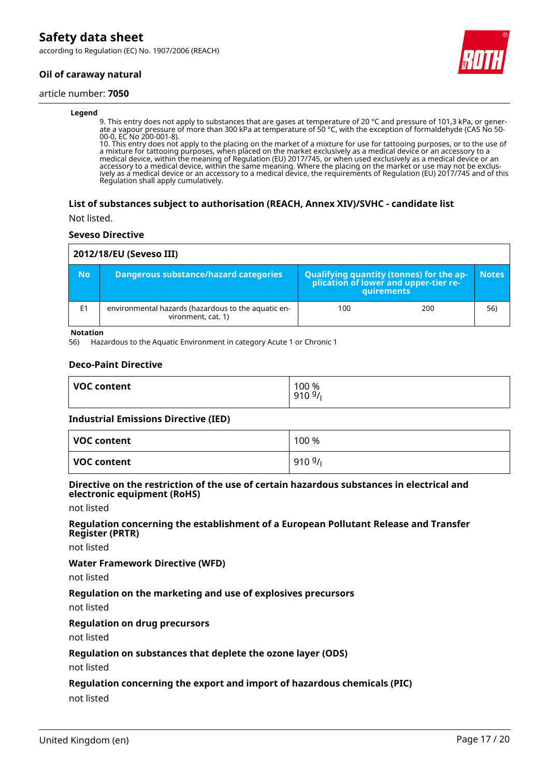according to Regulation (EC) No. 1907/2006 (REACH)

## **Oil of caraway natural**

#### article number: **7050**

#### **Legend**

9. This entry does not apply to substances that are gases at temperature of 20 °C and pressure of 101,3 kPa, or generate a vapour pressure of more than 300 kPa at temperature of 50 °C, with the exception of formaldehyde (CAS No 50- 00-0, EC No 200-001-8).

10. This entry does not apply to the placing on the market of a mixture for use for tattooing purposes, or to the use of a mixture for tattooing purposes, when placed on the market exclusively as a medical device or an accessory to a medical device, within the meaning of Regulation (EU) 2017/745, or when used exclusively as a medical device or an accessory to a medical device, within the same meaning. Where the placing on the market or use may not be exclusively as a medical device or an accessory to a medical device, the requirements of Regulation (EU) 2017/745 and of this Regulation shall apply cumulatively.

#### **List of substances subject to authorisation (REACH, Annex XIV)/SVHC - candidate list**

Not listed.

#### **Seveso Directive**

| 2012/18/EU (Seveso III) |                                                                           |                                                                                            |     |              |
|-------------------------|---------------------------------------------------------------------------|--------------------------------------------------------------------------------------------|-----|--------------|
| <b>No</b>               | Dangerous substance/hazard categories                                     | Qualifying quantity (tonnes) for the application of lower and upper-tier re-<br>quirements |     | <b>Notes</b> |
| E <sub>1</sub>          | environmental hazards (hazardous to the aquatic en-<br>vironment, cat. 1) | 100                                                                                        | 200 | 56)          |

**Notation**

56) Hazardous to the Aquatic Environment in category Acute 1 or Chronic 1

#### **Deco-Paint Directive**

| VOC content | 100 %<br>9109/ |
|-------------|----------------|
|             |                |

#### **Industrial Emissions Directive (IED)**

| VOC content | 100 % |
|-------------|-------|
| VOC content | 9109/ |

#### **Directive on the restriction of the use of certain hazardous substances in electrical and electronic equipment (RoHS)**

not listed

#### **Regulation concerning the establishment of a European Pollutant Release and Transfer Register (PRTR)**

not listed

#### **Water Framework Directive (WFD)**

not listed

#### **Regulation on the marketing and use of explosives precursors**

not listed

#### **Regulation on drug precursors**

not listed

#### **Regulation on substances that deplete the ozone layer (ODS)**

not listed

#### **Regulation concerning the export and import of hazardous chemicals (PIC)**

not listed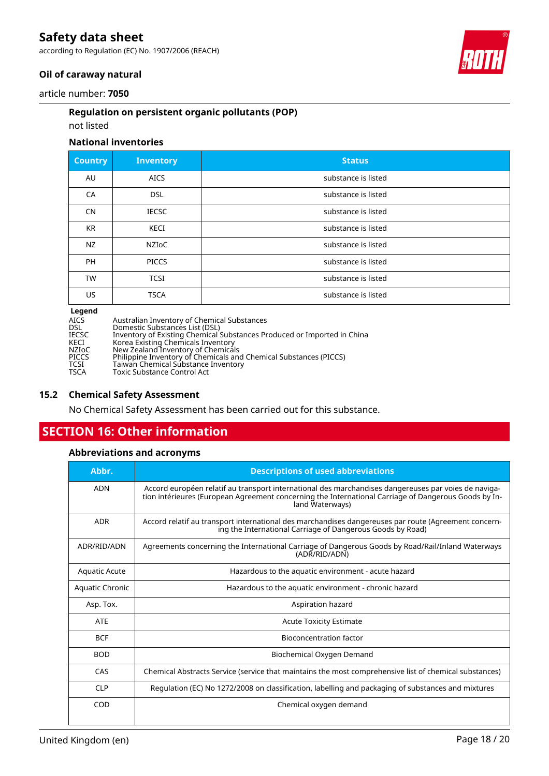according to Regulation (EC) No. 1907/2006 (REACH)



### **Oil of caraway natural**

article number: **7050**

### **Regulation on persistent organic pollutants (POP)**

### not listed

### **National inventories**

| <b>Country</b>              | <b>Inventory</b> | <b>Status</b>       |
|-----------------------------|------------------|---------------------|
| AU                          | <b>AICS</b>      | substance is listed |
| CA                          | <b>DSL</b>       | substance is listed |
| <b>CN</b>                   | <b>IECSC</b>     | substance is listed |
| <b>KR</b>                   | <b>KECI</b>      | substance is listed |
| <b>NZ</b>                   | <b>NZIOC</b>     | substance is listed |
| <b>PH</b>                   | <b>PICCS</b>     | substance is listed |
| <b>TW</b>                   | <b>TCSI</b>      | substance is listed |
| US.                         | <b>TSCA</b>      | substance is listed |
| $\sim$ $\sim$ $\sim$ $\sim$ |                  |                     |

**Legend**

| <b>Legena</b> |                                                                         |
|---------------|-------------------------------------------------------------------------|
| AICS          | Australian Inventory of Chemical Substances                             |
| DSL           | Domestic Substances List (DSL)                                          |
| IECSC         | Inventory of Existing Chemical Substances Produced or Imported in China |
| KECI          | Korea Existing Chemicals Inventory                                      |
| NZIoC         | New Zealand Inventory of Chemicals                                      |
| PICCS         | Philippine Inventory of Chemicals and Chemical Substances (PICCS)       |
| TCSI          | Taiwan Chemical Substance Inventory                                     |
| TSCA          | Toxic Substance Control Act                                             |
|               |                                                                         |

#### **15.2 Chemical Safety Assessment**

No Chemical Safety Assessment has been carried out for this substance.

# **SECTION 16: Other information**

## **Abbreviations and acronyms**

| Abbr.                                | <b>Descriptions of used abbreviations</b>                                                                                                                                                                                       |  |
|--------------------------------------|---------------------------------------------------------------------------------------------------------------------------------------------------------------------------------------------------------------------------------|--|
| <b>ADN</b>                           | Accord européen relatif au transport international des marchandises dangereuses par voies de naviga-<br>tion intérieures (European Agreement concerning the International Carriage of Dangerous Goods by In-<br>land Waterways) |  |
| <b>ADR</b>                           | Accord relatif au transport international des marchandises dangereuses par route (Agreement concern-<br>ing the International Carriage of Dangerous Goods by Road)                                                              |  |
| ADR/RID/ADN                          | Agreements concerning the International Carriage of Dangerous Goods by Road/Rail/Inland Waterways<br>(ADR/RID/ADN)                                                                                                              |  |
| <b>Aquatic Acute</b>                 | Hazardous to the aquatic environment - acute hazard                                                                                                                                                                             |  |
| Aquatic Chronic                      | Hazardous to the aquatic environment - chronic hazard                                                                                                                                                                           |  |
| Asp. Tox.                            | Aspiration hazard                                                                                                                                                                                                               |  |
| <b>ATE</b>                           | <b>Acute Toxicity Estimate</b>                                                                                                                                                                                                  |  |
| <b>BCF</b>                           | Bioconcentration factor                                                                                                                                                                                                         |  |
| <b>BOD</b>                           | Biochemical Oxygen Demand                                                                                                                                                                                                       |  |
| CAS                                  | Chemical Abstracts Service (service that maintains the most comprehensive list of chemical substances)                                                                                                                          |  |
| <b>CLP</b>                           | Regulation (EC) No 1272/2008 on classification, labelling and packaging of substances and mixtures                                                                                                                              |  |
| <b>COD</b><br>Chemical oxygen demand |                                                                                                                                                                                                                                 |  |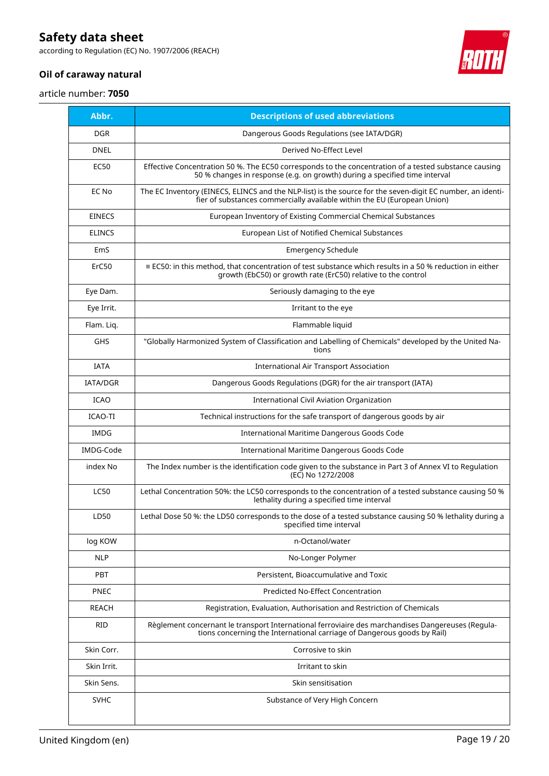according to Regulation (EC) No. 1907/2006 (REACH)



# **Oil of caraway natural**

article number: **7050**

| Abbr.           | <b>Descriptions of used abbreviations</b>                                                                                                                                              |  |
|-----------------|----------------------------------------------------------------------------------------------------------------------------------------------------------------------------------------|--|
| <b>DGR</b>      | Dangerous Goods Regulations (see IATA/DGR)                                                                                                                                             |  |
| <b>DNEL</b>     | Derived No-Effect Level                                                                                                                                                                |  |
| <b>EC50</b>     | Effective Concentration 50 %. The EC50 corresponds to the concentration of a tested substance causing<br>50 % changes in response (e.g. on growth) during a specified time interval    |  |
| EC No           | The EC Inventory (EINECS, ELINCS and the NLP-list) is the source for the seven-digit EC number, an identi-<br>fier of substances commercially available within the EU (European Union) |  |
| <b>EINECS</b>   | European Inventory of Existing Commercial Chemical Substances                                                                                                                          |  |
| <b>ELINCS</b>   | European List of Notified Chemical Substances                                                                                                                                          |  |
| EmS             | <b>Emergency Schedule</b>                                                                                                                                                              |  |
| ErC50           | ≡ EC50: in this method, that concentration of test substance which results in a 50 % reduction in either<br>growth (EbC50) or growth rate (ErC50) relative to the control              |  |
| Eye Dam.        | Seriously damaging to the eye                                                                                                                                                          |  |
| Eye Irrit.      | Irritant to the eye                                                                                                                                                                    |  |
| Flam. Liq.      | Flammable liquid                                                                                                                                                                       |  |
| <b>GHS</b>      | "Globally Harmonized System of Classification and Labelling of Chemicals" developed by the United Na-<br>tions                                                                         |  |
| <b>IATA</b>     | <b>International Air Transport Association</b>                                                                                                                                         |  |
| <b>IATA/DGR</b> | Dangerous Goods Regulations (DGR) for the air transport (IATA)                                                                                                                         |  |
| <b>ICAO</b>     | International Civil Aviation Organization                                                                                                                                              |  |
| ICAO-TI         | Technical instructions for the safe transport of dangerous goods by air                                                                                                                |  |
| <b>IMDG</b>     | International Maritime Dangerous Goods Code                                                                                                                                            |  |
| IMDG-Code       | International Maritime Dangerous Goods Code                                                                                                                                            |  |
| index No        | The Index number is the identification code given to the substance in Part 3 of Annex VI to Regulation<br>(EC) No 1272/2008                                                            |  |
| <b>LC50</b>     | Lethal Concentration 50%: the LC50 corresponds to the concentration of a tested substance causing 50 %<br>lethality during a specified time interval                                   |  |
| LD50            | Lethal Dose 50 %: the LD50 corresponds to the dose of a tested substance causing 50 % lethality during a<br>specified time interval                                                    |  |
| log KOW         | n-Octanol/water                                                                                                                                                                        |  |
| <b>NLP</b>      | No-Longer Polymer                                                                                                                                                                      |  |
| PBT             | Persistent, Bioaccumulative and Toxic                                                                                                                                                  |  |
| <b>PNEC</b>     | <b>Predicted No-Effect Concentration</b>                                                                                                                                               |  |
| <b>REACH</b>    | Registration, Evaluation, Authorisation and Restriction of Chemicals                                                                                                                   |  |
| <b>RID</b>      | Règlement concernant le transport International ferroviaire des marchandises Dangereuses (Regula-<br>tions concerning the International carriage of Dangerous goods by Rail)           |  |
| Skin Corr.      | Corrosive to skin                                                                                                                                                                      |  |
| Skin Irrit.     | Irritant to skin                                                                                                                                                                       |  |
| Skin Sens.      | Skin sensitisation                                                                                                                                                                     |  |
| <b>SVHC</b>     | Substance of Very High Concern                                                                                                                                                         |  |